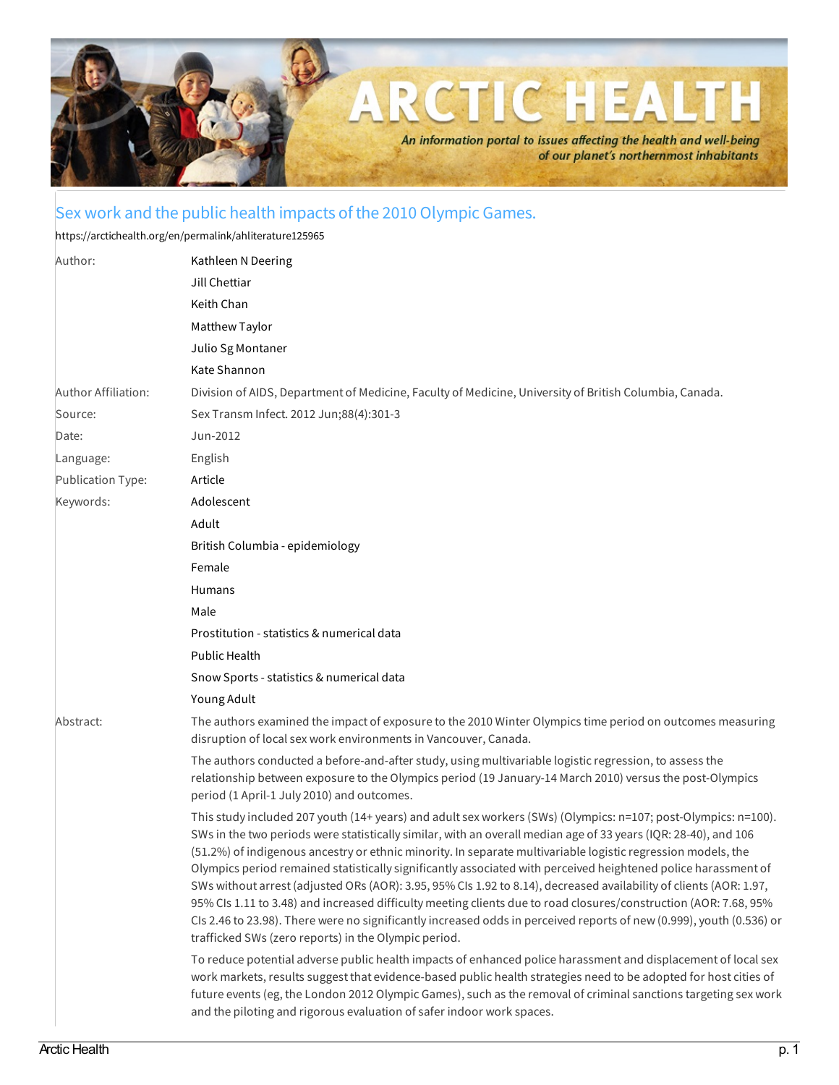

## Sex work and the public health impacts of the 2010 Olympic Games.

<https://arctichealth.org/en/permalink/ahliterature125965>

| Author:             | Kathleen N Deering                                                                                                                                                                                                                                                                                                                                                                                                                                                                                                                                                                                                                                                                                                                                                                                                                                                                            |
|---------------------|-----------------------------------------------------------------------------------------------------------------------------------------------------------------------------------------------------------------------------------------------------------------------------------------------------------------------------------------------------------------------------------------------------------------------------------------------------------------------------------------------------------------------------------------------------------------------------------------------------------------------------------------------------------------------------------------------------------------------------------------------------------------------------------------------------------------------------------------------------------------------------------------------|
|                     | Jill Chettiar                                                                                                                                                                                                                                                                                                                                                                                                                                                                                                                                                                                                                                                                                                                                                                                                                                                                                 |
|                     | Keith Chan                                                                                                                                                                                                                                                                                                                                                                                                                                                                                                                                                                                                                                                                                                                                                                                                                                                                                    |
|                     | Matthew Taylor                                                                                                                                                                                                                                                                                                                                                                                                                                                                                                                                                                                                                                                                                                                                                                                                                                                                                |
|                     | Julio Sg Montaner                                                                                                                                                                                                                                                                                                                                                                                                                                                                                                                                                                                                                                                                                                                                                                                                                                                                             |
|                     | Kate Shannon                                                                                                                                                                                                                                                                                                                                                                                                                                                                                                                                                                                                                                                                                                                                                                                                                                                                                  |
| Author Affiliation: | Division of AIDS, Department of Medicine, Faculty of Medicine, University of British Columbia, Canada.                                                                                                                                                                                                                                                                                                                                                                                                                                                                                                                                                                                                                                                                                                                                                                                        |
| Source:             | Sex Transm Infect. 2012 Jun;88(4):301-3                                                                                                                                                                                                                                                                                                                                                                                                                                                                                                                                                                                                                                                                                                                                                                                                                                                       |
| Date:               | Jun-2012                                                                                                                                                                                                                                                                                                                                                                                                                                                                                                                                                                                                                                                                                                                                                                                                                                                                                      |
| Language:           | English                                                                                                                                                                                                                                                                                                                                                                                                                                                                                                                                                                                                                                                                                                                                                                                                                                                                                       |
| Publication Type:   | Article                                                                                                                                                                                                                                                                                                                                                                                                                                                                                                                                                                                                                                                                                                                                                                                                                                                                                       |
| Keywords:           | Adolescent                                                                                                                                                                                                                                                                                                                                                                                                                                                                                                                                                                                                                                                                                                                                                                                                                                                                                    |
|                     | Adult                                                                                                                                                                                                                                                                                                                                                                                                                                                                                                                                                                                                                                                                                                                                                                                                                                                                                         |
|                     | British Columbia - epidemiology                                                                                                                                                                                                                                                                                                                                                                                                                                                                                                                                                                                                                                                                                                                                                                                                                                                               |
|                     | Female                                                                                                                                                                                                                                                                                                                                                                                                                                                                                                                                                                                                                                                                                                                                                                                                                                                                                        |
|                     | Humans                                                                                                                                                                                                                                                                                                                                                                                                                                                                                                                                                                                                                                                                                                                                                                                                                                                                                        |
|                     | Male                                                                                                                                                                                                                                                                                                                                                                                                                                                                                                                                                                                                                                                                                                                                                                                                                                                                                          |
|                     | Prostitution - statistics & numerical data                                                                                                                                                                                                                                                                                                                                                                                                                                                                                                                                                                                                                                                                                                                                                                                                                                                    |
|                     | <b>Public Health</b>                                                                                                                                                                                                                                                                                                                                                                                                                                                                                                                                                                                                                                                                                                                                                                                                                                                                          |
|                     | Snow Sports - statistics & numerical data                                                                                                                                                                                                                                                                                                                                                                                                                                                                                                                                                                                                                                                                                                                                                                                                                                                     |
|                     | Young Adult                                                                                                                                                                                                                                                                                                                                                                                                                                                                                                                                                                                                                                                                                                                                                                                                                                                                                   |
| Abstract:           | The authors examined the impact of exposure to the 2010 Winter Olympics time period on outcomes measuring<br>disruption of local sex work environments in Vancouver, Canada.                                                                                                                                                                                                                                                                                                                                                                                                                                                                                                                                                                                                                                                                                                                  |
|                     | The authors conducted a before-and-after study, using multivariable logistic regression, to assess the<br>relationship between exposure to the Olympics period (19 January-14 March 2010) versus the post-Olympics<br>period (1 April-1 July 2010) and outcomes.                                                                                                                                                                                                                                                                                                                                                                                                                                                                                                                                                                                                                              |
|                     | This study included 207 youth (14+ years) and adult sex workers (SWs) (Olympics: n=107; post-Olympics: n=100).<br>SWs in the two periods were statistically similar, with an overall median age of 33 years (IQR: 28-40), and 106<br>(51.2%) of indigenous ancestry or ethnic minority. In separate multivariable logistic regression models, the<br>Olympics period remained statistically significantly associated with perceived heightened police harassment of<br>SWs without arrest (adjusted ORs (AOR): 3.95, 95% CIs 1.92 to 8.14), decreased availability of clients (AOR: 1.97,<br>95% CIs 1.11 to 3.48) and increased difficulty meeting clients due to road closures/construction (AOR: 7.68, 95%<br>CIs 2.46 to 23.98). There were no significantly increased odds in perceived reports of new (0.999), youth (0.536) or<br>trafficked SWs (zero reports) in the Olympic period. |
|                     | To reduce potential adverse public health impacts of enhanced police harassment and displacement of local sex<br>work markets, results suggest that evidence-based public health strategies need to be adopted for host cities of<br>future events (eg, the London 2012 Olympic Games), such as the removal of criminal sanctions targeting sex work<br>and the piloting and rigorous evaluation of safer indoor work spaces.                                                                                                                                                                                                                                                                                                                                                                                                                                                                 |